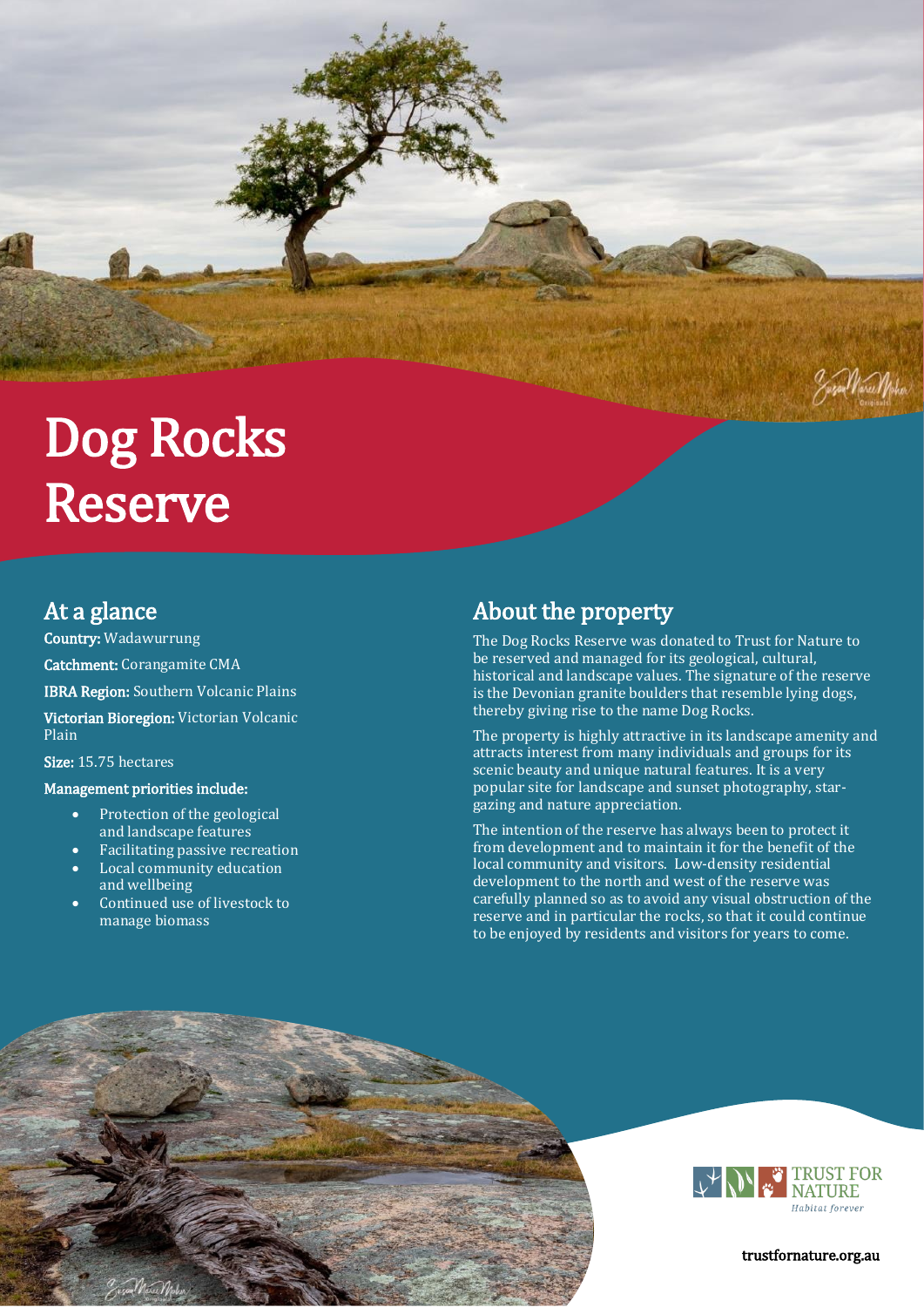# Dog Rocks Reserve

# At a glance

Country: Wadawurrung Catchment: Corangamite CMA IBRA Region: Southern Volcanic Plains Victorian Bioregion: Victorian Volcanic Plain

Size: 15.75 hectares

#### Management priorities include:

- Protection of the geological and landscape features
- Facilitating passive recreation
- Local community education and wellbeing
- Continued use of livestock to manage biomass

# About the property

The Dog Rocks Reserve was donated to Trust for Nature to be reserved and managed for its geological, cultural, historical and landscape values. The signature of the reserve is the Devonian granite boulders that resemble lying dogs, thereby giving rise to the name Dog Rocks.

The property is highly attractive in its landscape amenity and attracts interest from many individuals and groups for its scenic beauty and unique natural features. It is a very popular site for landscape and sunset photography, stargazing and nature appreciation.

The intention of the reserve has always been to protect it from development and to maintain it for the benefit of the local community and visitors. Low-density residential development to the north and west of the reserve was carefully planned so as to avoid any visual obstruction of the reserve and in particular the rocks, so that it could continue to be enjoyed by residents and visitors for years to come.





trustfornature.org.au

Jesse Nevel Noter